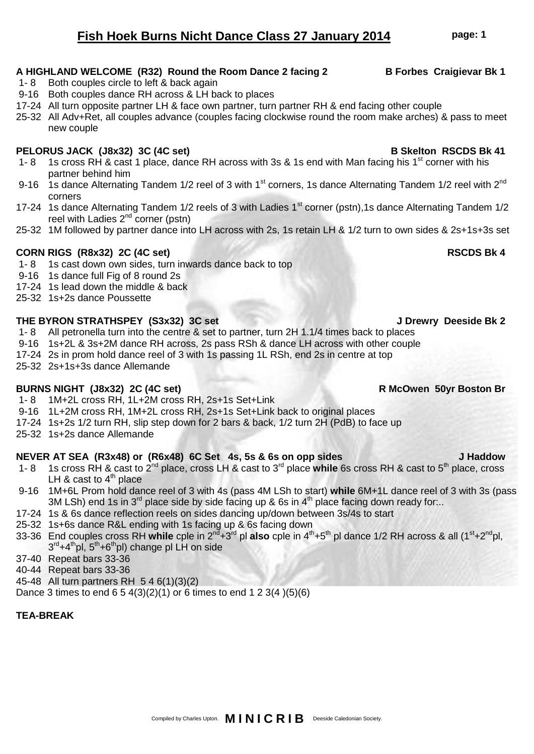# **Fish Hoek Burns Nicht Dance Class 27 January 2014 page: 1**

# A HIGHLAND WELCOME (R32) Round the Room Dance 2 facing 2 **B** Forbes Craigievar Bk 1

- 1- 8 Both couples circle to left & back again
- 9-16 Both couples dance RH across & LH back to places
- 17-24 All turn opposite partner LH & face own partner, turn partner RH & end facing other couple

25-32 All Adv+Ret, all couples advance (couples facing clockwise round the room make arches) & pass to meet new couple

# PELORUS JACK (J8x32) 3C (4C set) **B** Skelton RSCDS Bk 41

- 1- 8 1s cross RH & cast 1 place, dance RH across with 3s & 1s end with Man facing his 1<sup>st</sup> corner with his partner behind him
- 9-16 1s dance Alternating Tandem 1/2 reel of 3 with 1<sup>st</sup> corners, 1s dance Alternating Tandem 1/2 reel with 2<sup>nd</sup> corners
- 17-24 1s dance Alternating Tandem 1/2 reels of 3 with Ladies 1<sup>st</sup> corner (pstn), 1s dance Alternating Tandem 1/2 reel with Ladies  $2^{nd}$  corner (pstn)
- 25-32 1M followed by partner dance into LH across with 2s, 1s retain LH & 1/2 turn to own sides & 2s+1s+3s set

# **CORN RIGS (R8x32) 2C (4C set) RSCDS Bk 4**

- 1- 8 1s cast down own sides, turn inwards dance back to top
- 9-16 1s dance full Fig of 8 round 2s
- 17-24 1s lead down the middle & back
- 25-32 1s+2s dance Poussette

### **THE BYRON STRATHSPEY (S3x32) 3C set J Drewry Deeside Bk 2**

- 1- 8 All petronella turn into the centre & set to partner, turn 2H 1.1/4 times back to places
- 9-16 1s+2L & 3s+2M dance RH across, 2s pass RSh & dance LH across with other couple
- 17-24 2s in prom hold dance reel of 3 with 1s passing 1L RSh, end 2s in centre at top
- 25-32 2s+1s+3s dance Allemande

### **BURNS NIGHT (J8x32) 2C (4C set) R McOwen 50yr Boston Br**

- 1- 8 1M+2L cross RH, 1L+2M cross RH, 2s+1s Set+Link
- 9-16 1L+2M cross RH, 1M+2L cross RH, 2s+1s Set+Link back to original places
- 17-24 1s+2s 1/2 turn RH, slip step down for 2 bars & back, 1/2 turn 2H (PdB) to face up
- 25-32 1s+2s dance Allemande

# **NEVER AT SEA (R3x48) or (R6x48) 6C Set 4s, 5s & 6s on opp sides J Haddow**

- 1- 8 1s cross RH & cast to 2nd place, cross LH & cast to 3rd place **while** 6s cross RH & cast to 5th place, cross LH & cast to  $4<sup>th</sup>$  place
- 9-16 1M+6L Prom hold dance reel of 3 with 4s (pass 4M LSh to start) **while** 6M+1L dance reel of 3 with 3s (pass 3M LSh) end 1s in  $3^{rd}$  place side by side facing up & 6s in  $4^{th}$  place facing down ready for...
- 17-24 1s & 6s dance reflection reels on sides dancing up/down between 3s/4s to start
- 25-32 1s+6s dance R&L ending with 1s facing up & 6s facing down
- 33-36 End couples cross RH **while** cple in 2nd+3rd pl **also** cple in 4th+5th pl dance 1/2 RH across & all (1st+2ndpl,  $3^{\text{rd}}$ +4<sup>th</sup>pl, 5<sup>th</sup>+6<sup>th</sup>pl) change pl LH on side
- 37-40 Repeat bars 33-36
- 40-44 Repeat bars 33-36
- 45-48 All turn partners RH 5 4 6(1)(3)(2)
- Dance 3 times to end  $6\ 5\ 4(3)(2)(1)$  or 6 times to end 1 2 3(4  $)(5)(6)$

# **TEA-BREAK**